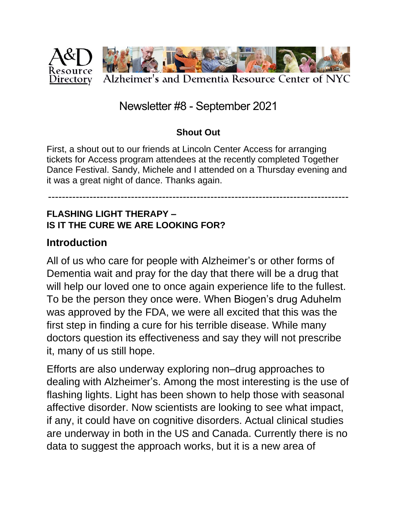

## Newsletter #8 - September 2021

#### **Shout Out**

First, a shout out to our friends at Lincoln Center Access for arranging tickets for Access program attendees at the recently completed Together Dance Festival. Sandy, Michele and I attended on a Thursday evening and it was a great night of dance. Thanks again.

## ---------------------------------------------------------------------------------------

#### **FLASHING LIGHT THERAPY – IS IT THE CURE WE ARE LOOKING FOR?**

#### **Introduction**

All of us who care for people with Alzheimer's or other forms of Dementia wait and pray for the day that there will be a drug that will help our loved one to once again experience life to the fullest. To be the person they once were. When Biogen's drug Aduhelm was approved by the FDA, we were all excited that this was the first step in finding a cure for his terrible disease. While many doctors question its effectiveness and say they will not prescribe it, many of us still hope.

Efforts are also underway exploring non–drug approaches to dealing with Alzheimer's. Among the most interesting is the use of flashing lights. Light has been shown to help those with seasonal affective disorder. Now scientists are looking to see what impact, if any, it could have on cognitive disorders. Actual clinical studies are underway in both in the US and Canada. Currently there is no data to suggest the approach works, but it is a new area of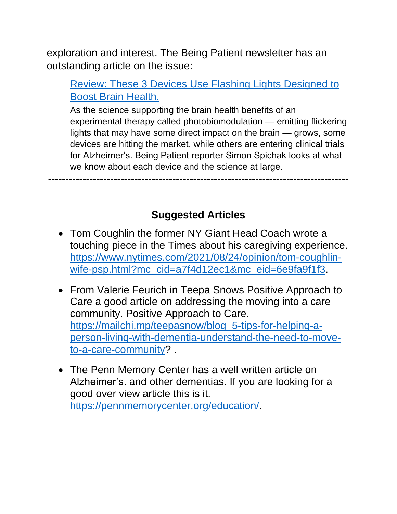exploration and interest. The Being Patient newsletter has an outstanding article on the issue:

## [Review: These 3 Devices Use Flashing Lights Designed to](https://www.beingpatient.com/light-therapy-brain-function-alzheimers/)  [Boost Brain Health.](https://www.beingpatient.com/light-therapy-brain-function-alzheimers/)

As the science supporting the brain health benefits of an experimental therapy called photobiomodulation — emitting flickering lights that may have some direct impact on the brain — grows, some devices are hitting the market, while others are entering clinical trials for Alzheimer's. Being Patient reporter Simon Spichak looks at what we know about each device and the science at large.

---------------------------------------------------------------------------------------

## **Suggested Articles**

- Tom Coughlin the former NY Giant Head Coach wrote a touching piece in the Times about his caregiving experience. [https://www.nytimes.com/2021/08/24/opinion/tom-coughlin](https://www.nytimes.com/2021/08/24/opinion/tom-coughlin-wife-psp.html?mc_cid=a7f4d12ec1&mc_eid=6e9fa9f1f3)[wife-psp.html?mc\\_cid=a7f4d12ec1&mc\\_eid=6e9fa9f1f3.](https://www.nytimes.com/2021/08/24/opinion/tom-coughlin-wife-psp.html?mc_cid=a7f4d12ec1&mc_eid=6e9fa9f1f3)
- From Valerie Feurich in Teepa Snows Positive Approach to Care a good article on addressing the moving into a care community. Positive Approach to Care. [https://mailchi.mp/teepasnow/blog\\_5-tips-for-helping-a](https://mailchi.mp/teepasnow/blog_5-tips-for-helping-a-person-living-with-dementia-understand-the-need-to-move-to-a-care-community)[person-living-with-dementia-understand-the-need-to-move](https://mailchi.mp/teepasnow/blog_5-tips-for-helping-a-person-living-with-dementia-understand-the-need-to-move-to-a-care-community)[to-a-care-community?](https://mailchi.mp/teepasnow/blog_5-tips-for-helping-a-person-living-with-dementia-understand-the-need-to-move-to-a-care-community) .
- The Penn Memory Center has a well written article on Alzheimer's. and other dementias. If you are looking for a good over view article this is it. [https://pennmemorycenter.org/education/.](https://pennmemorycenter.org/education/)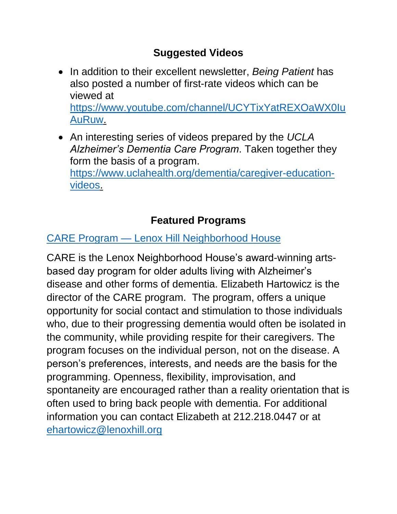## **Suggested Videos**

- In addition to their excellent newsletter, *Being Patient* has also posted a number of first-rate videos which can be viewed at [https://www.youtube.com/channel/UCYTixYatREXOaWX0Iu](https://www.youtube.com/channel/UCYTixYatREXOaWX0IuAuRuw) [AuRuw.](https://www.youtube.com/channel/UCYTixYatREXOaWX0IuAuRuw)
- An interesting series of videos prepared by the *UCLA Alzheimer's Dementia Care Program*. Taken together they form the basis of a program. [https://www.uclahealth.org/dementia/caregiver-education](https://www.uclahealth.org/dementia/caregiver-education-videos)[videos.](https://www.uclahealth.org/dementia/caregiver-education-videos)

# **Featured Programs**

## CARE Program — [Lenox Hill Neighborhood House](https://www.lenoxhill.org/careprogram)

CARE is the Lenox Neighborhood House's award-winning artsbased day program for older adults living with Alzheimer's disease and other forms of dementia. Elizabeth Hartowicz is the director of the CARE program. The program, offers a unique opportunity for social contact and stimulation to those individuals who, due to their progressing dementia would often be isolated in the community, while providing respite for their caregivers. The program focuses on the individual person, not on the disease. A person's preferences, interests, and needs are the basis for the programming. Openness, flexibility, improvisation, and spontaneity are encouraged rather than a reality orientation that is often used to bring back people with dementia. For additional information you can contact Elizabeth at 212.218.0447 or at [ehartowicz@lenoxhill.org](mailto:ehartowicz@lenoxhill.org)